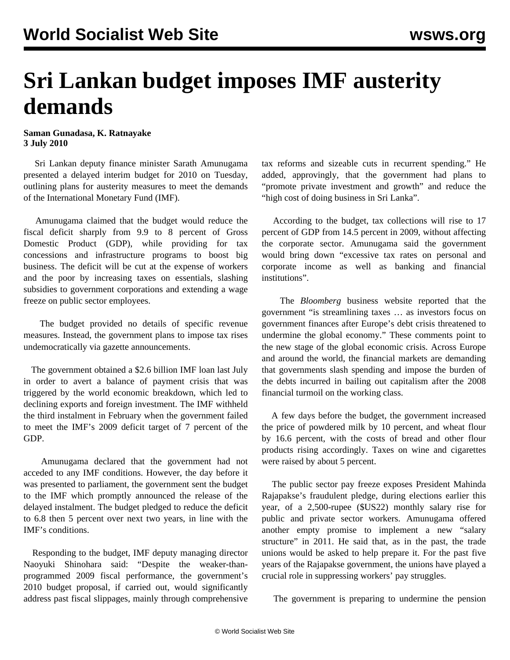## **Sri Lankan budget imposes IMF austerity demands**

**Saman Gunadasa, K. Ratnayake 3 July 2010**

 Sri Lankan deputy finance minister Sarath Amunugama presented a delayed interim budget for 2010 on Tuesday, outlining plans for austerity measures to meet the demands of the International Monetary Fund (IMF).

 Amunugama claimed that the budget would reduce the fiscal deficit sharply from 9.9 to 8 percent of Gross Domestic Product (GDP), while providing for tax concessions and infrastructure programs to boost big business. The deficit will be cut at the expense of workers and the poor by increasing taxes on essentials, slashing subsidies to government corporations and extending a wage freeze on public sector employees.

 The budget provided no details of specific revenue measures. Instead, the government plans to impose tax rises undemocratically via gazette announcements.

 The government obtained a \$2.6 billion IMF loan last July in order to avert a balance of payment crisis that was triggered by the world economic breakdown, which led to declining exports and foreign investment. The IMF withheld the third instalment in February when the government failed to meet the IMF's 2009 deficit target of 7 percent of the GDP.

 Amunugama declared that the government had not acceded to any IMF conditions. However, the day before it was presented to parliament, the government sent the budget to the IMF which promptly announced the release of the delayed instalment. The budget pledged to reduce the deficit to 6.8 then 5 percent over next two years, in line with the IMF's conditions.

 Responding to the budget, IMF deputy managing director Naoyuki Shinohara said: "Despite the weaker-thanprogrammed 2009 fiscal performance, the government's 2010 budget proposal, if carried out, would significantly address past fiscal slippages, mainly through comprehensive tax reforms and sizeable cuts in recurrent spending." He added, approvingly, that the government had plans to "promote private investment and growth" and reduce the "high cost of doing business in Sri Lanka".

 According to the budget, tax collections will rise to 17 percent of GDP from 14.5 percent in 2009, without affecting the corporate sector. Amunugama said the government would bring down "excessive tax rates on personal and corporate income as well as banking and financial institutions".

 The *Bloomberg* business website reported that the government "is streamlining taxes … as investors focus on government finances after Europe's debt crisis threatened to undermine the global economy." These comments point to the new stage of the global economic crisis. Across Europe and around the world, the financial markets are demanding that governments slash spending and impose the burden of the debts incurred in bailing out capitalism after the 2008 financial turmoil on the working class.

 A few days before the budget, the government increased the price of powdered milk by 10 percent, and wheat flour by 16.6 percent, with the costs of bread and other flour products rising accordingly. Taxes on wine and cigarettes were raised by about 5 percent.

 The public sector pay freeze exposes President Mahinda Rajapakse's fraudulent pledge, during elections earlier this year, of a 2,500-rupee (\$US22) monthly salary rise for public and private sector workers. Amunugama offered another empty promise to implement a new "salary structure" in 2011. He said that, as in the past, the trade unions would be asked to help prepare it. For the past five years of the Rajapakse government, the unions have played a crucial role in suppressing workers' pay struggles.

The government is preparing to undermine the pension